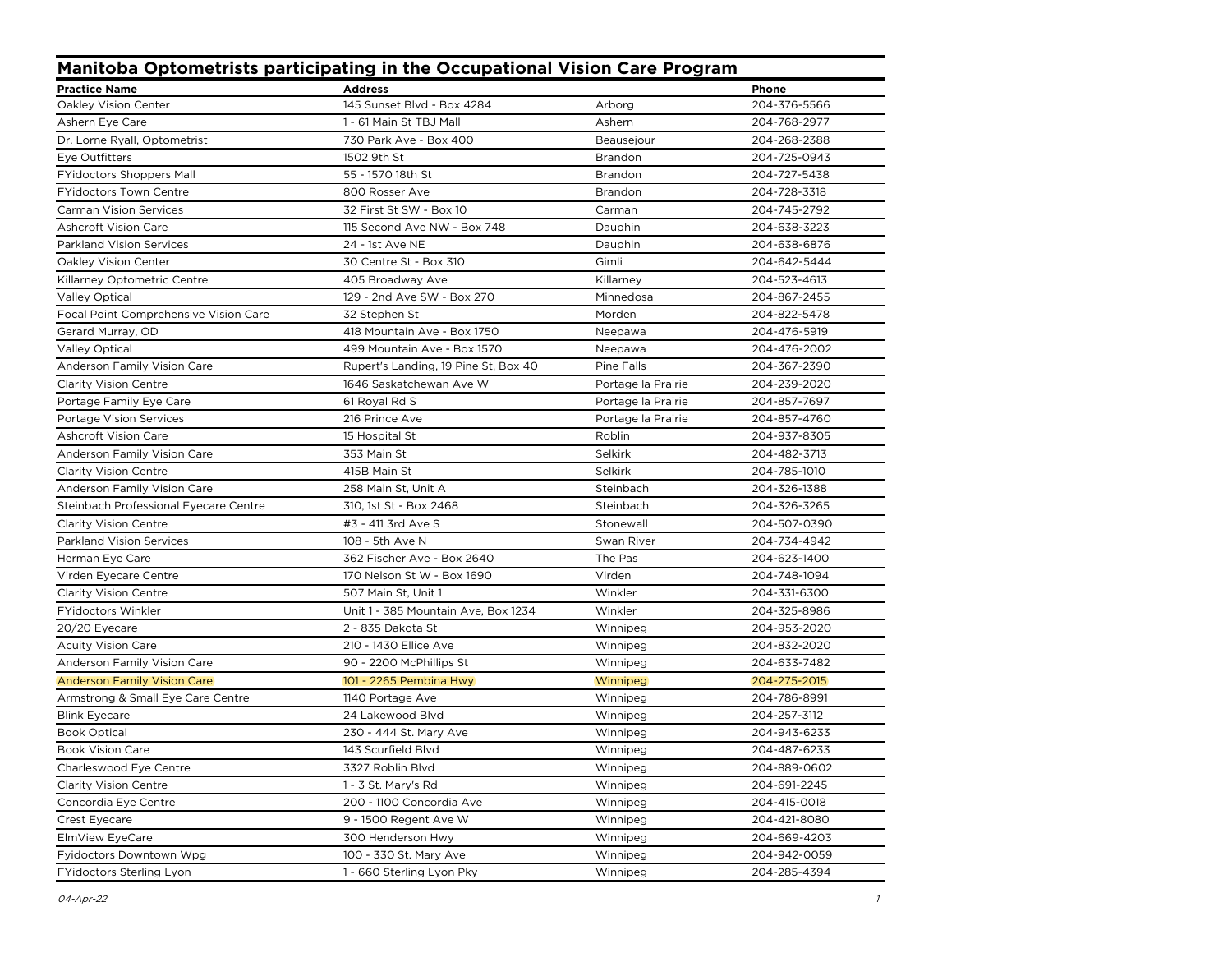| <b>Manitoba Optometrists participating in the Occupational Vision Care Program</b> |                                      |                    |              |  |
|------------------------------------------------------------------------------------|--------------------------------------|--------------------|--------------|--|
| <b>Practice Name</b>                                                               | <b>Address</b>                       |                    | <b>Phone</b> |  |
| Oakley Vision Center                                                               | 145 Sunset Blvd - Box 4284           | Arborg             | 204-376-5566 |  |
| Ashern Eye Care                                                                    | 1 - 61 Main St TBJ Mall              | Ashern             | 204-768-2977 |  |
| Dr. Lorne Ryall, Optometrist                                                       | 730 Park Ave - Box 400               | Beausejour         | 204-268-2388 |  |
| Eye Outfitters                                                                     | 1502 9th St                          | Brandon            | 204-725-0943 |  |
| <b>FYidoctors Shoppers Mall</b>                                                    | 55 - 1570 18th St                    | Brandon            | 204-727-5438 |  |
| <b>FYidoctors Town Centre</b>                                                      | 800 Rosser Ave                       | Brandon            | 204-728-3318 |  |
| <b>Carman Vision Services</b>                                                      | 32 First St SW - Box 10              | Carman             | 204-745-2792 |  |
| <b>Ashcroft Vision Care</b>                                                        | 115 Second Ave NW - Box 748          | Dauphin            | 204-638-3223 |  |
| <b>Parkland Vision Services</b>                                                    | 24 - 1st Ave NE                      | Dauphin            | 204-638-6876 |  |
| Oakley Vision Center                                                               | 30 Centre St - Box 310               | Gimli              | 204-642-5444 |  |
| Killarney Optometric Centre                                                        | 405 Broadway Ave                     | Killarney          | 204-523-4613 |  |
| <b>Valley Optical</b>                                                              | 129 - 2nd Ave SW - Box 270           | Minnedosa          | 204-867-2455 |  |
| Focal Point Comprehensive Vision Care                                              | 32 Stephen St                        | Morden             | 204-822-5478 |  |
| Gerard Murray, OD                                                                  | 418 Mountain Ave - Box 1750          | Neepawa            | 204-476-5919 |  |
| <b>Valley Optical</b>                                                              | 499 Mountain Ave - Box 1570          | Neepawa            | 204-476-2002 |  |
| Anderson Family Vision Care                                                        | Rupert's Landing, 19 Pine St, Box 40 | Pine Falls         | 204-367-2390 |  |
| <b>Clarity Vision Centre</b>                                                       | 1646 Saskatchewan Ave W              | Portage la Prairie | 204-239-2020 |  |
| Portage Family Eye Care                                                            | 61 Royal Rd S                        | Portage la Prairie | 204-857-7697 |  |
| Portage Vision Services                                                            | 216 Prince Ave                       | Portage la Prairie | 204-857-4760 |  |
| <b>Ashcroft Vision Care</b>                                                        | 15 Hospital St                       | Roblin             | 204-937-8305 |  |
| Anderson Family Vision Care                                                        | 353 Main St                          | Selkirk            | 204-482-3713 |  |
| <b>Clarity Vision Centre</b>                                                       | 415B Main St                         | Selkirk            | 204-785-1010 |  |
| Anderson Family Vision Care                                                        | 258 Main St, Unit A                  | Steinbach          | 204-326-1388 |  |
| Steinbach Professional Eyecare Centre                                              | 310, 1st St - Box 2468               | Steinbach          | 204-326-3265 |  |
| <b>Clarity Vision Centre</b>                                                       | #3 - 411 3rd Ave S                   | Stonewall          | 204-507-0390 |  |
| <b>Parkland Vision Services</b>                                                    | 108 - 5th Ave N                      | Swan River         | 204-734-4942 |  |
| Herman Eye Care                                                                    | 362 Fischer Ave - Box 2640           | The Pas            | 204-623-1400 |  |
| Virden Eyecare Centre                                                              | 170 Nelson St W - Box 1690           | Virden             | 204-748-1094 |  |
| <b>Clarity Vision Centre</b>                                                       | 507 Main St, Unit 1                  | Winkler            | 204-331-6300 |  |
| <b>FYidoctors Winkler</b>                                                          | Unit 1 - 385 Mountain Ave, Box 1234  | Winkler            | 204-325-8986 |  |
| 20/20 Eyecare                                                                      | 2 - 835 Dakota St                    | Winnipeg           | 204-953-2020 |  |
| <b>Acuity Vision Care</b>                                                          | 210 - 1430 Ellice Ave                | Winnipeg           | 204-832-2020 |  |
| Anderson Family Vision Care                                                        | 90 - 2200 McPhillips St              | Winnipeg           | 204-633-7482 |  |
| <b>Anderson Family Vision Care</b>                                                 | 101 - 2265 Pembina Hwy               | Winnipeg           | 204-275-2015 |  |
| Armstrong & Small Eye Care Centre                                                  | 1140 Portage Ave                     | Winnipeg           | 204-786-8991 |  |
| <b>Blink Eyecare</b>                                                               | 24 Lakewood Blvd                     | Winnipeg           | 204-257-3112 |  |
| <b>Book Optical</b>                                                                | 230 - 444 St. Mary Ave               | Winnipeg           | 204-943-6233 |  |
| <b>Book Vision Care</b>                                                            | 143 Scurfield Blvd                   | Winnipeg           | 204-487-6233 |  |
| Charleswood Eye Centre                                                             | 3327 Roblin Blvd                     | Winnipeg           | 204-889-0602 |  |
| <b>Clarity Vision Centre</b>                                                       | 1 - 3 St. Mary's Rd                  | Winnipeg           | 204-691-2245 |  |
| Concordia Eye Centre                                                               | 200 - 1100 Concordia Ave             | Winnipeg           | 204-415-0018 |  |
| Crest Eyecare                                                                      | 9 - 1500 Regent Ave W                | Winnipeg           | 204-421-8080 |  |
| ElmView EyeCare                                                                    | 300 Henderson Hwy                    | Winnipeg           | 204-669-4203 |  |
| Fyidoctors Downtown Wpg                                                            | 100 - 330 St. Mary Ave               | Winnipeg           | 204-942-0059 |  |
| FYidoctors Sterling Lyon                                                           | 1 - 660 Sterling Lyon Pky            | Winnipeg           | 204-285-4394 |  |